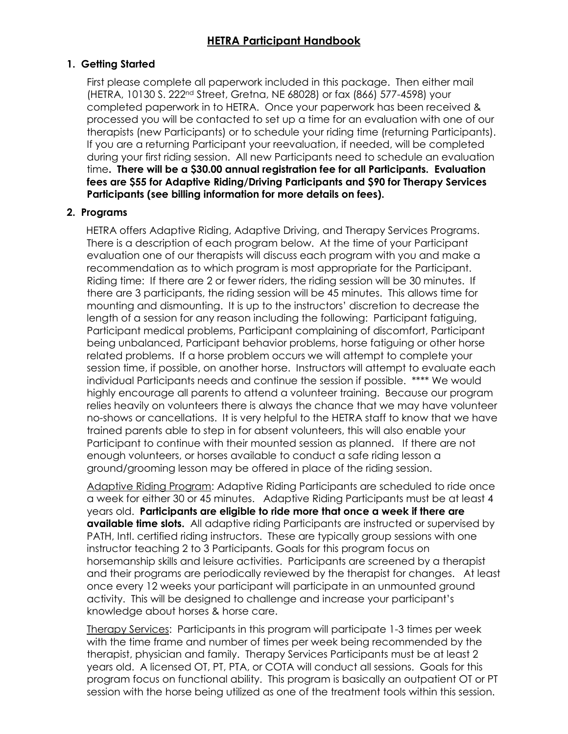# **1. Getting Started**

First please complete all paperwork included in this package. Then either mail (HETRA, 10130 S. 222nd Street, Gretna, NE 68028) or fax (866) 577-4598) your completed paperwork in to HETRA. Once your paperwork has been received & processed you will be contacted to set up a time for an evaluation with one of our therapists (new Participants) or to schedule your riding time (returning Participants). If you are a returning Participant your reevaluation, if needed, will be completed during your first riding session. All new Participants need to schedule an evaluation time**. There will be a \$30.00 annual registration fee for all Participants. Evaluation fees are \$55 for Adaptive Riding/Driving Participants and \$90 for Therapy Services Participants (see billing information for more details on fees).**

## **2. Programs**

HETRA offers Adaptive Riding, Adaptive Driving, and Therapy Services Programs. There is a description of each program below. At the time of your Participant evaluation one of our therapists will discuss each program with you and make a recommendation as to which program is most appropriate for the Participant. Riding time: If there are 2 or fewer riders, the riding session will be 30 minutes. If there are 3 participants, the riding session will be 45 minutes. This allows time for mounting and dismounting. It is up to the instructors' discretion to decrease the length of a session for any reason including the following: Participant fatiguing, Participant medical problems, Participant complaining of discomfort, Participant being unbalanced, Participant behavior problems, horse fatiguing or other horse related problems. If a horse problem occurs we will attempt to complete your session time, if possible, on another horse. Instructors will attempt to evaluate each individual Participants needs and continue the session if possible. \*\*\*\* We would highly encourage all parents to attend a volunteer training. Because our program relies heavily on volunteers there is always the chance that we may have volunteer no-shows or cancellations. It is very helpful to the HETRA staff to know that we have trained parents able to step in for absent volunteers, this will also enable your Participant to continue with their mounted session as planned. If there are not enough volunteers, or horses available to conduct a safe riding lesson a ground/grooming lesson may be offered in place of the riding session.

Adaptive Riding Program: Adaptive Riding Participants are scheduled to ride once a week for either 30 or 45 minutes. Adaptive Riding Participants must be at least 4 years old. **Participants are eligible to ride more that once a week if there are available time slots.** All adaptive riding Participants are instructed or supervised by PATH, Intl. certified riding instructors. These are typically group sessions with one instructor teaching 2 to 3 Participants. Goals for this program focus on horsemanship skills and leisure activities. Participants are screened by a therapist and their programs are periodically reviewed by the therapist for changes. At least once every 12 weeks your participant will participate in an unmounted ground activity. This will be designed to challenge and increase your participant's knowledge about horses & horse care.

Therapy Services: Participants in this program will participate 1-3 times per week with the time frame and number of times per week being recommended by the therapist, physician and family. Therapy Services Participants must be at least 2 years old. A licensed OT, PT, PTA, or COTA will conduct all sessions. Goals for this program focus on functional ability. This program is basically an outpatient OT or PT session with the horse being utilized as one of the treatment tools within this session.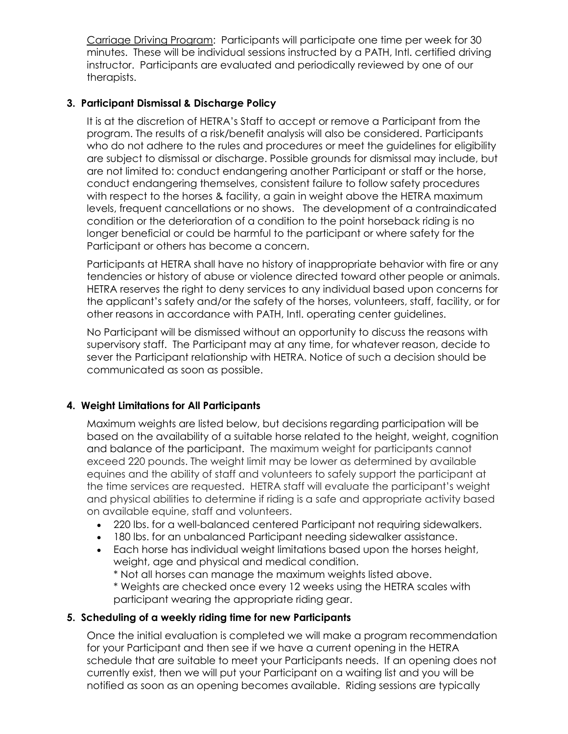Carriage Driving Program: Participants will participate one time per week for 30 minutes. These will be individual sessions instructed by a PATH, Intl. certified driving instructor. Participants are evaluated and periodically reviewed by one of our therapists.

## **3. Participant Dismissal & Discharge Policy**

It is at the discretion of HETRA's Staff to accept or remove a Participant from the program. The results of a risk/benefit analysis will also be considered. Participants who do not adhere to the rules and procedures or meet the guidelines for eligibility are subject to dismissal or discharge. Possible grounds for dismissal may include, but are not limited to: conduct endangering another Participant or staff or the horse, conduct endangering themselves, consistent failure to follow safety procedures with respect to the horses & facility, a gain in weight above the HETRA maximum levels, frequent cancellations or no shows. The development of a contraindicated condition or the deterioration of a condition to the point horseback riding is no longer beneficial or could be harmful to the participant or where safety for the Participant or others has become a concern.

Participants at HETRA shall have no history of inappropriate behavior with fire or any tendencies or history of abuse or violence directed toward other people or animals. HETRA reserves the right to deny services to any individual based upon concerns for the applicant's safety and/or the safety of the horses, volunteers, staff, facility, or for other reasons in accordance with PATH, Intl. operating center guidelines.

No Participant will be dismissed without an opportunity to discuss the reasons with supervisory staff. The Participant may at any time, for whatever reason, decide to sever the Participant relationship with HETRA. Notice of such a decision should be communicated as soon as possible.

## **4. Weight Limitations for All Participants**

Maximum weights are listed below, but decisions regarding participation will be based on the availability of a suitable horse related to the height, weight, cognition and balance of the participant. The maximum weight for participants cannot exceed 220 pounds. The weight limit may be lower as determined by available equines and the ability of staff and volunteers to safely support the participant at the time services are requested. HETRA staff will evaluate the participant's weight and physical abilities to determine if riding is a safe and appropriate activity based on available equine, staff and volunteers.

- 220 lbs. for a well-balanced centered Participant not requiring sidewalkers.
- 180 lbs. for an unbalanced Participant needing sidewalker assistance.
- Each horse has individual weight limitations based upon the horses height, weight, age and physical and medical condition.

\* Not all horses can manage the maximum weights listed above.

\* Weights are checked once every 12 weeks using the HETRA scales with participant wearing the appropriate riding gear.

## **5. Scheduling of a weekly riding time for new Participants**

Once the initial evaluation is completed we will make a program recommendation for your Participant and then see if we have a current opening in the HETRA schedule that are suitable to meet your Participants needs. If an opening does not currently exist, then we will put your Participant on a waiting list and you will be notified as soon as an opening becomes available. Riding sessions are typically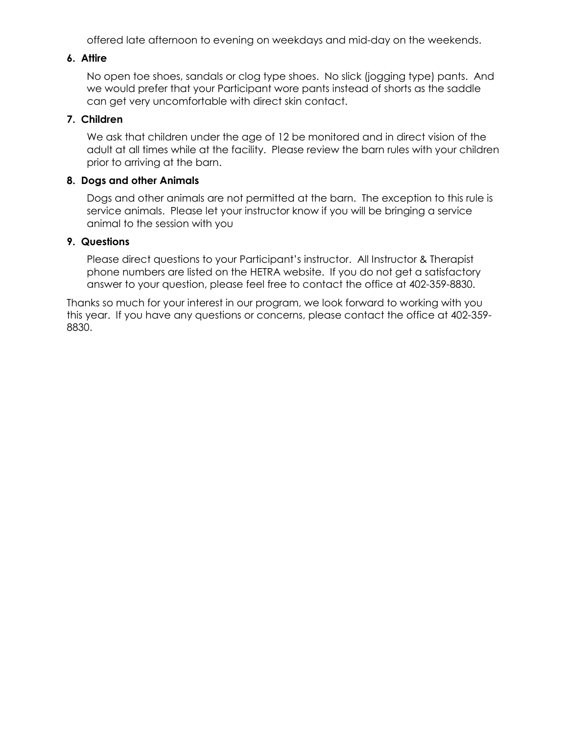offered late afternoon to evening on weekdays and mid-day on the weekends.

#### **6. Attire**

No open toe shoes, sandals or clog type shoes. No slick (jogging type) pants. And we would prefer that your Participant wore pants instead of shorts as the saddle can get very uncomfortable with direct skin contact.

#### **7. Children**

We ask that children under the age of 12 be monitored and in direct vision of the adult at all times while at the facility. Please review the barn rules with your children prior to arriving at the barn.

#### **8. Dogs and other Animals**

Dogs and other animals are not permitted at the barn. The exception to this rule is service animals. Please let your instructor know if you will be bringing a service animal to the session with you

#### **9. Questions**

Please direct questions to your Participant's instructor. All Instructor & Therapist phone numbers are listed on the HETRA website. If you do not get a satisfactory answer to your question, please feel free to contact the office at 402-359-8830.

Thanks so much for your interest in our program, we look forward to working with you this year. If you have any questions or concerns, please contact the office at 402-359- 8830.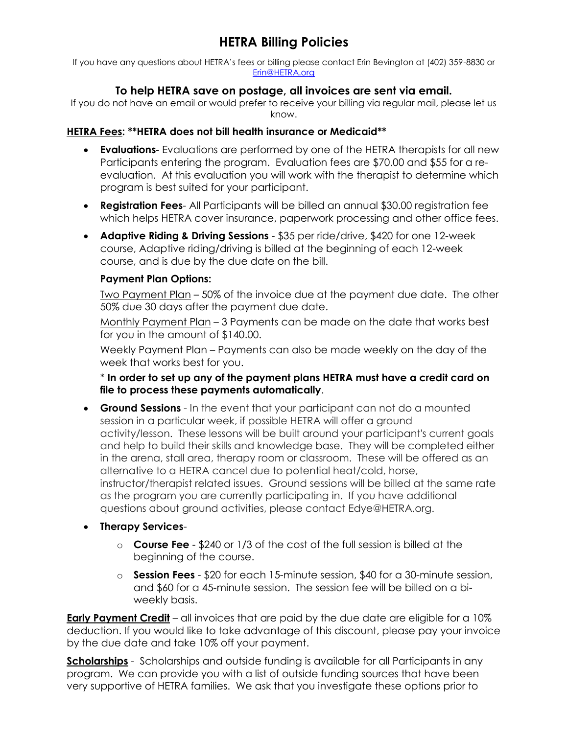If you have any questions about HETRA's fees or billing please contact Erin Bevington at (402) 359-8830 or [Erin@HETRA.org](mailto:Erin@HETRA.org)

# **To help HETRA save on postage, all invoices are sent via email.**

If you do not have an email or would prefer to receive your billing via regular mail, please let us know.

## **HETRA Fees: \*\*HETRA does not bill health insurance or Medicaid\*\***

- **Evaluations** Evaluations are performed by one of the HETRA therapists for all new Participants entering the program. Evaluation fees are \$70.00 and \$55 for a reevaluation. At this evaluation you will work with the therapist to determine which program is best suited for your participant.
- **Registration Fees** All Participants will be billed an annual \$30.00 registration fee which helps HETRA cover insurance, paperwork processing and other office fees.
- **Adaptive Riding & Driving Sessions**  \$35 per ride/drive, \$420 for one 12-week course, Adaptive riding/driving is billed at the beginning of each 12-week course, and is due by the due date on the bill.

# **Payment Plan Options:**

Two Payment Plan – 50% of the invoice due at the payment due date. The other 50% due 30 days after the payment due date.

Monthly Payment Plan – 3 Payments can be made on the date that works best for you in the amount of \$140.00.

Weekly Payment Plan – Payments can also be made weekly on the day of the week that works best for you.

\* **In order to set up any of the payment plans HETRA must have a credit card on file to process these payments automatically**.

- **Ground Sessions** In the event that your participant can not do a mounted session in a particular week, if possible HETRA will offer a ground activity/lesson. These lessons will be built around your participant's current goals and help to build their skills and knowledge base. They will be completed either in the arena, stall area, therapy room or classroom. These will be offered as an alternative to a HETRA cancel due to potential heat/cold, horse, instructor/therapist related issues. Ground sessions will be billed at the same rate as the program you are currently participating in. If you have additional questions about ground activities, please contact Edye@HETRA.org.
- **Therapy Services**
	- o **Course Fee**  \$240 or 1/3 of the cost of the full session is billed at the beginning of the course.
	- o **Session Fees**  \$20 for each 15-minute session, \$40 for a 30-minute session, and \$60 for a 45-minute session. The session fee will be billed on a biweekly basis.

**Early Payment Credit** – all invoices that are paid by the due date are eligible for a 10% deduction. If you would like to take advantage of this discount, please pay your invoice by the due date and take 10% off your payment.

**Scholarships** - Scholarships and outside funding is available for all Participants in any program. We can provide you with a list of outside funding sources that have been very supportive of HETRA families. We ask that you investigate these options prior to